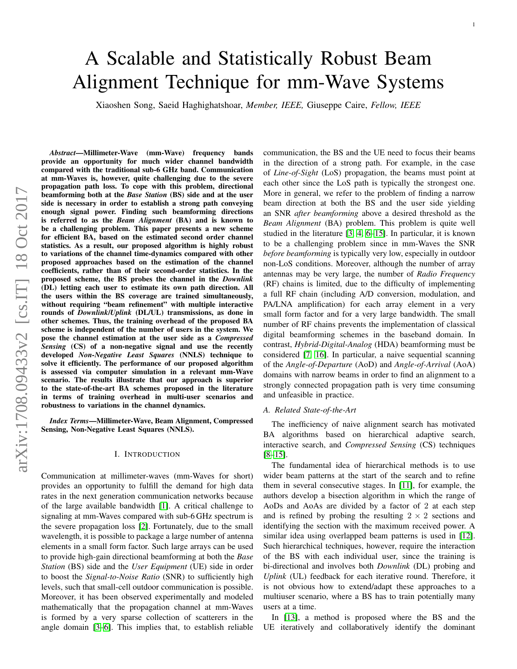arXiv:1708.09433v2 [cs.IT] 18 Oct 2017 arXiv:1708.09433v2 [cs.IT] 18 Oct 2017

## *Abstract*—Millimeter-Wave (mm-Wave) frequency bands provide an opportunity for much wider channel bandwidth compared with the traditional sub-6 GHz band. Communication at mm-Waves is, however, quite challenging due to the severe propagation path loss. To cope with this problem, directional beamforming both at the *Base Station* (BS) side and at the user side is necessary in order to establish a strong path conveying enough signal power. Finding such beamforming directions is referred to as the *Beam Alignment* (BA) and is known to be a challenging problem. This paper presents a new scheme for efficient BA, based on the estimated second order channel statistics. As a result, our proposed algorithm is highly robust to variations of the channel time-dynamics compared with other proposed approaches based on the estimation of the channel coefficients, rather than of their second-order statistics. In the proposed scheme, the BS probes the channel in the *Downlink* (DL) letting each user to estimate its own path direction. All the users within the BS coverage are trained simultaneously, without requiring "beam refinement" with multiple interactive rounds of *Downlink*/*Uplink* (DL/UL) transmissions, as done in other schemes. Thus, the training overhead of the proposed BA scheme is independent of the number of users in the system. We pose the channel estimation at the user side as a *Compressed Sensing* (CS) of a non-negative signal and use the recently developed *Non-Negative Least Squares* (NNLS) technique to solve it efficiently. The performance of our proposed algorithm is assessed via computer simulation in a relevant mm-Wave scenario. The results illustrate that our approach is superior to the state-of-the-art BA schemes proposed in the literature in terms of training overhead in multi-user scenarios and robustness to variations in the channel dynamics.

*Index Terms*—Millimeter-Wave, Beam Alignment, Compressed Sensing, Non-Negative Least Squares (NNLS).

#### I. INTRODUCTION

<span id="page-0-0"></span>Communication at millimeter-waves (mm-Waves for short) provides an opportunity to fulfill the demand for high data rates in the next generation communication networks because of the large available bandwidth [\[1\]](#page-11-0). A critical challenge to signaling at mm-Waves compared with sub-6 GHz spectrum is the severe propagation loss [\[2\]](#page-11-1). Fortunately, due to the small wavelength, it is possible to package a large number of antenna elements in a small form factor. Such large arrays can be used to provide high-gain directional beamforming at both the *Base Station* (BS) side and the *User Equipment* (UE) side in order to boost the *Signal-to-Noise Ratio* (SNR) to sufficiently high levels, such that small-cell outdoor communication is possible. Moreover, it has been observed experimentally and modeled mathematically that the propagation channel at mm-Waves is formed by a very sparse collection of scatterers in the angle domain [\[3](#page-11-2)[–6\]](#page-11-3). This implies that, to establish reliable communication, the BS and the UE need to focus their beams in the direction of a strong path. For example, in the case of *Line-of-Sight* (LoS) propagation, the beams must point at each other since the LoS path is typically the strongest one. More in general, we refer to the problem of finding a narrow beam direction at both the BS and the user side yielding an SNR *after beamforming* above a desired threshold as the *Beam Alignment* (BA) problem. This problem is quite well studied in the literature [\[3,](#page-11-2) [4,](#page-11-4) [6–](#page-11-3)[15\]](#page-12-0). In particular, it is known to be a challenging problem since in mm-Waves the SNR *before beamforming* is typically very low, especially in outdoor non-LoS conditions. Moreover, although the number of array antennas may be very large, the number of *Radio Frequency* (RF) chains is limited, due to the difficulty of implementing a full RF chain (including A/D conversion, modulation, and PA/LNA amplification) for each array element in a very small form factor and for a very large bandwidth. The small number of RF chains prevents the implementation of classical digital beamforming schemes in the baseband domain. In contrast, *Hybrid-Digital-Analog* (HDA) beamforming must be considered [\[7,](#page-11-5) [16\]](#page-12-1). In particular, a naive sequential scanning of the *Angle-of-Departure* (AoD) and *Angle-of-Arrival* (AoA) domains with narrow beams in order to find an alignment to a strongly connected propagation path is very time consuming and unfeasible in practice.

### *A. Related State-of-the-Art*

The inefficiency of naive alignment search has motivated BA algorithms based on hierarchical adaptive search, interactive search, and *Compressed Sensing* (CS) techniques  $[8-15]$  $[8-15]$ .

The fundamental idea of hierarchical methods is to use wider beam patterns at the start of the search and to refine them in several consecutive stages. In [\[11\]](#page-11-7), for example, the authors develop a bisection algorithm in which the range of AoDs and AoAs are divided by a factor of 2 at each step and is refined by probing the resulting  $2 \times 2$  sections and identifying the section with the maximum received power. A similar idea using overlapped beam patterns is used in [\[12\]](#page-11-8). Such hierarchical techniques, however, require the interaction of the BS with each individual user, since the training is bi-directional and involves both *Downlink* (DL) probing and *Uplink* (UL) feedback for each iterative round. Therefore, it is not obvious how to extend/adapt these approaches to a multiuser scenario, where a BS has to train potentially many users at a time.

In [\[13\]](#page-11-9), a method is proposed where the BS and the UE iteratively and collaboratively identify the dominant

Xiaoshen Song, Saeid Haghighatshoar, *Member, IEEE,* Giuseppe Caire, *Fellow, IEEE*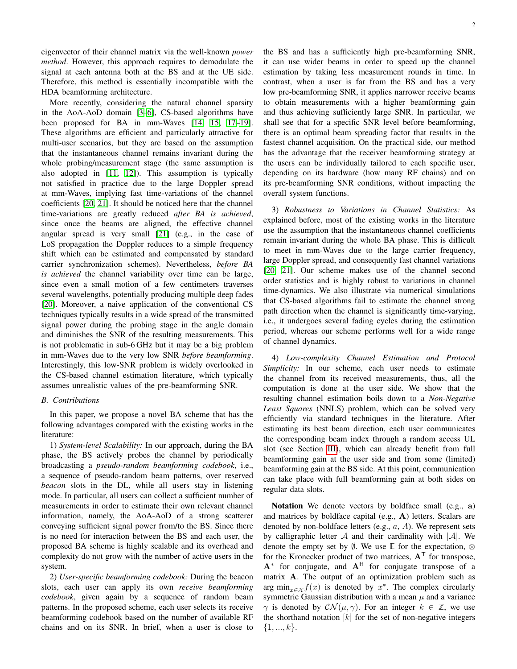eigenvector of their channel matrix via the well-known *power method*. However, this approach requires to demodulate the signal at each antenna both at the BS and at the UE side. Therefore, this method is essentially incompatible with the HDA beamforming architecture.

More recently, considering the natural channel sparsity in the AoA-AoD domain [\[3–](#page-11-2)[6\]](#page-11-3), CS-based algorithms have been proposed for BA in mm-Waves [\[14,](#page-11-10) [15,](#page-12-0) [17](#page-12-2)[–19\]](#page-12-3). These algorithms are efficient and particularly attractive for multi-user scenarios, but they are based on the assumption that the instantaneous channel remains invariant during the whole probing/measurement stage (the same assumption is also adopted in [\[11,](#page-11-7) [12\]](#page-11-8)). This assumption is typically not satisfied in practice due to the large Doppler spread at mm-Waves, implying fast time-variations of the channel coefficients [\[20,](#page-12-4) [21\]](#page-12-5). It should be noticed here that the channel time-variations are greatly reduced *after BA is achieved*, since once the beams are aligned, the effective channel angular spread is very small [\[21\]](#page-12-5) (e.g., in the case of LoS propagation the Doppler reduces to a simple frequency shift which can be estimated and compensated by standard carrier synchronization schemes). Nevertheless, *before BA is achieved* the channel variability over time can be large, since even a small motion of a few centimeters traverses several wavelengths, potentially producing multiple deep fades [\[20\]](#page-12-4). Moreover, a naive application of the conventional CS techniques typically results in a wide spread of the transmitted signal power during the probing stage in the angle domain and diminishes the SNR of the resulting measurements. This is not problematic in sub-6 GHz but it may be a big problem in mm-Waves due to the very low SNR *before beamforming*. Interestingly, this low-SNR problem is widely overlooked in the CS-based channel estimation literature, which typically assumes unrealistic values of the pre-beamforming SNR.

#### *B. Contributions*

In this paper, we propose a novel BA scheme that has the following advantages compared with the existing works in the literature:

1) *System-level Scalability:* In our approach, during the BA phase, the BS actively probes the channel by periodically broadcasting a *pseudo-random beamforming codebook*, i.e., a sequence of pseudo-random beam patterns, over reserved *beacon* slots in the DL, while all users stay in listening mode. In particular, all users can collect a sufficient number of measurements in order to estimate their own relevant channel information, namely, the AoA-AoD of a strong scatterer conveying sufficient signal power from/to the BS. Since there is no need for interaction between the BS and each user, the proposed BA scheme is highly scalable and its overhead and complexity do not grow with the number of active users in the system.

2) *User-specific beamforming codebook:* During the beacon slots, each user can apply its own *receive beamforming codebook*, given again by a sequence of random beam patterns. In the proposed scheme, each user selects its receive beamforming codebook based on the number of available RF chains and on its SNR. In brief, when a user is close to the BS and has a sufficiently high pre-beamforming SNR, it can use wider beams in order to speed up the channel estimation by taking less measurement rounds in time. In contrast, when a user is far from the BS and has a very low pre-beamforming SNR, it applies narrower receive beams to obtain measurements with a higher beamforming gain and thus achieving sufficiently large SNR. In particular, we shall see that for a specific SNR level before beamforming, there is an optimal beam spreading factor that results in the fastest channel acquisition. On the practical side, our method has the advantage that the receiver beamforming strategy at the users can be individually tailored to each specific user, depending on its hardware (how many RF chains) and on its pre-beamforming SNR conditions, without impacting the overall system functions.

3) *Robustness to Variations in Channel Statistics:* As explained before, most of the existing works in the literature use the assumption that the instantaneous channel coefficients remain invariant during the whole BA phase. This is difficult to meet in mm-Waves due to the large carrier frequency, large Doppler spread, and consequently fast channel variations [\[20,](#page-12-4) [21\]](#page-12-5). Our scheme makes use of the channel second order statistics and is highly robust to variations in channel time-dynamics. We also illustrate via numerical simulations that CS-based algorithms fail to estimate the channel strong path direction when the channel is significantly time-varying, i.e., it undergoes several fading cycles during the estimation period, whereas our scheme performs well for a wide range of channel dynamics.

4) *Low-complexity Channel Estimation and Protocol Simplicity:* In our scheme, each user needs to estimate the channel from its received measurements, thus, all the computation is done at the user side. We show that the resulting channel estimation boils down to a *Non-Negative Least Squares* (NNLS) problem, which can be solved very efficiently via standard techniques in the literature. After estimating its best beam direction, each user communicates the corresponding beam index through a random access UL slot (see Section [III\)](#page-4-0), which can already benefit from full beamforming gain at the user side and from some (limited) beamforming gain at the BS side. At this point, communication can take place with full beamforming gain at both sides on regular data slots.

Notation We denote vectors by boldface small (e.g., a) and matrices by boldface capital (e.g., A) letters. Scalars are denoted by non-boldface letters (e.g.,  $a$ ,  $A$ ). We represent sets by calligraphic letter A and their cardinality with  $|\mathcal{A}|$ . We denote the empty set by ∅. We use **E** for the expectation, ⊗ for the Kronecker product of two matrices,  $A<sup>T</sup>$  for transpose,  $A^*$  for conjugate, and  $A^H$  for conjugate transpose of a matrix A. The output of an optimization problem such as arg min $_{x \in \mathcal{X}} f(x)$  is denoted by  $x^*$ . The complex circularly symmetric Gaussian distribution with a mean  $\mu$  and a variance  $\gamma$  is denoted by  $CN(\mu, \gamma)$ . For an integer  $k \in \mathbb{Z}$ , we use the shorthand notation  $[k]$  for the set of non-negative integers  $\{1, ..., k\}.$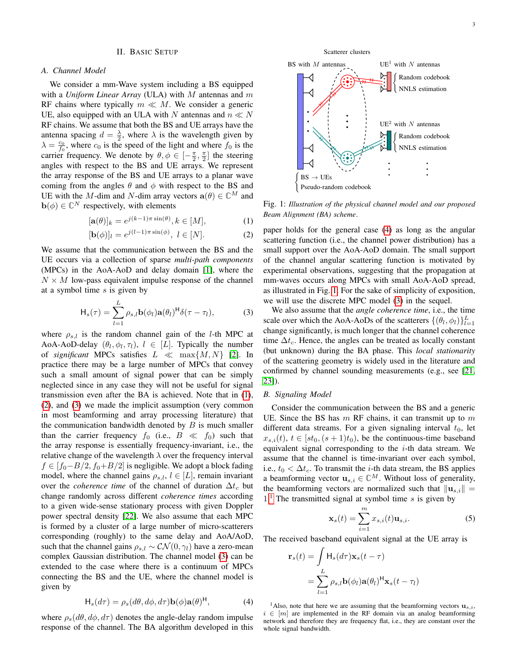## II. BASIC SETUP

### *A. Channel Model*

We consider a mm-Wave system including a BS equipped with a *Uniform Linear Array* (ULA) with M antennas and m RF chains where typically  $m \ll M$ . We consider a generic UE, also equipped with an ULA with N antennas and  $n \ll N$ RF chains. We assume that both the BS and UE arrays have the antenna spacing  $d = \frac{\lambda}{2}$ , where  $\lambda$  is the wavelength given by  $\lambda = \frac{c_0}{f_0}$ , where  $c_0$  is the speed of the light and where  $f_0$  is the carrier frequency. We denote by  $\theta, \phi \in [-\frac{\pi}{2}, \frac{\pi}{2}]$  the steering angles with respect to the BS and UE arrays. We represent the array response of the BS and UE arrays to a planar wave coming from the angles  $\theta$  and  $\phi$  with respect to the BS and UE with the M-dim and N-dim array vectors  $a(\theta) \in \mathbb{C}^M$  and  $\mathbf{b}(\phi) \in \mathbb{C}^N$  respectively, with elements

$$
[\mathbf{a}(\theta)]_k = e^{j(k-1)\pi \sin(\theta)}, k \in [M],\tag{1}
$$

$$
[\mathbf{b}(\phi)]_l = e^{j(l-1)\pi \sin(\phi)}, \ l \in [N]. \tag{2}
$$

We assume that the communication between the BS and the UE occurs via a collection of sparse *multi-path components* (MPCs) in the AoA-AoD and delay domain [\[1\]](#page-11-0), where the  $N \times M$  low-pass equivalent impulse response of the channel at a symbol time  $s$  is given by

$$
\mathsf{H}_s(\tau) = \sum_{l=1}^L \rho_{s,l} \mathbf{b}(\phi_l) \mathbf{a}(\theta_l)^{\mathsf{H}} \delta(\tau - \tau_l), \tag{3}
$$

where  $\rho_{s,l}$  is the random channel gain of the *l*-th MPC at AoA-AoD-delay  $(\theta_l, \phi_l, \tau_l)$ ,  $l \in [L]$ . Typically the number of *significant* MPCs satisfies  $L \ll \max\{M, N\}$  [\[2\]](#page-11-1). In practice there may be a large number of MPCs that convey such a small amount of signal power that can be simply neglected since in any case they will not be useful for signal transmission even after the BA is achieved. Note that in [\(1\)](#page-2-0), [\(2\)](#page-2-1), and [\(3\)](#page-2-2) we made the implicit assumption (very common in most beamforming and array processing literature) that the communication bandwidth denoted by  $B$  is much smaller than the carrier frequency  $f_0$  (i.e.,  $B \ll f_0$ ) such that the array response is essentially frequency-invariant, i.e., the relative change of the wavelength  $\lambda$  over the frequency interval  $f \in [f_0-B/2, f_0+B/2]$  is negligible. We adopt a block fading model, where the channel gains  $\rho_{s,l}$ ,  $l \in [L]$ , remain invariant over the *coherence time* of the channel of duration  $\Delta t_c$  but change randomly across different *coherence times* according to a given wide-sense stationary process with given Doppler power spectral density [\[22\]](#page-12-6). We also assume that each MPC is formed by a cluster of a large number of micro-scatterers corresponding (roughly) to the same delay and AoA/AoD, such that the channel gains  $\rho_{s,l} \sim \mathcal{CN}(0, \gamma_l)$  have a zero-mean complex Gaussian distribution. The channel model [\(3\)](#page-2-2) can be extended to the case where there is a continuum of MPCs connecting the BS and the UE, where the channel model is given by



where  $\rho_s(d\theta, d\phi, d\tau)$  denotes the angle-delay random impulse response of the channel. The BA algorithm developed in this



<span id="page-2-4"></span>

<span id="page-2-0"></span>Fig. 1: *Illustration of the physical channel model and our proposed Beam Alignment (BA) scheme*.

<span id="page-2-1"></span>paper holds for the general case [\(4\)](#page-2-3) as long as the angular scattering function (i.e., the channel power distribution) has a small support over the AoA-AoD domain. The small support of the channel angular scattering function is motivated by experimental observations, suggesting that the propagation at mm-waves occurs along MPCs with small AoA-AoD spread, as illustrated in Fig. [1.](#page-2-4) For the sake of simplicity of exposition, we will use the discrete MPC model [\(3\)](#page-2-2) in the sequel.

<span id="page-2-2"></span>We also assume that the *angle coherence time*, i.e., the time scale over which the AoA-AoDs of the scatterers  $\{(\theta_l, \phi_l)\}_{l=1}^L$ change significantly, is much longer that the channel coherence time  $\Delta t_c$ . Hence, the angles can be treated as locally constant (but unknown) during the BA phase. This *local stationarity* of the scattering geometry is widely used in the literature and confirmed by channel sounding measurements (e.g., see [\[21,](#page-12-5) [23\]](#page-12-7)).

# *B. Signaling Model*

Consider the communication between the BS and a generic UE. Since the BS has  $m$  RF chains, it can transmit up to  $m$ different data streams. For a given signaling interval  $t_0$ , let  $x_{s,i}(t)$ ,  $t \in [st_0, (s+1)t_0)$ , be the continuous-time baseband equivalent signal corresponding to the  $i$ -th data stream. We assume that the channel is time-invariant over each symbol, i.e.,  $t_0 < \Delta t_c$ . To transmit the *i*-th data stream, the BS applies a beamforming vector  $\mathbf{u}_{s,i} \in \mathbb{C}^{M}$ . Without loss of generality, the beamforming vectors are normalized such that  $\|\mathbf{u}_{s,i}\|$  =  $1<sup>1</sup>$  $1<sup>1</sup>$ . The transmitted signal at symbol time s is given by

$$
\mathbf{x}_s(t) = \sum_{i=1}^m x_{s,i}(t)\mathbf{u}_{s,i}.
$$
 (5)

The received baseband equivalent signal at the UE array is

$$
\mathbf{r}_s(t) = \int \mathbf{H}_s(d\tau) \mathbf{x}_s(t-\tau)
$$
  
= 
$$
\sum_{l=1}^{L} \rho_{s,l} \mathbf{b}(\phi_l) \mathbf{a}(\theta_l)^{\mathsf{H}} \mathbf{x}_s(t-\tau_l)
$$

<span id="page-2-5"></span><span id="page-2-3"></span><sup>1</sup>Also, note that here we are assuming that the beamforming vectors  $\mathbf{u}_{s,i}$ ,  $i \in [m]$  are implemented in the RF domain via an analog beamforming network and therefore they are frequency flat, i.e., they are constant over the whole signal bandwidth.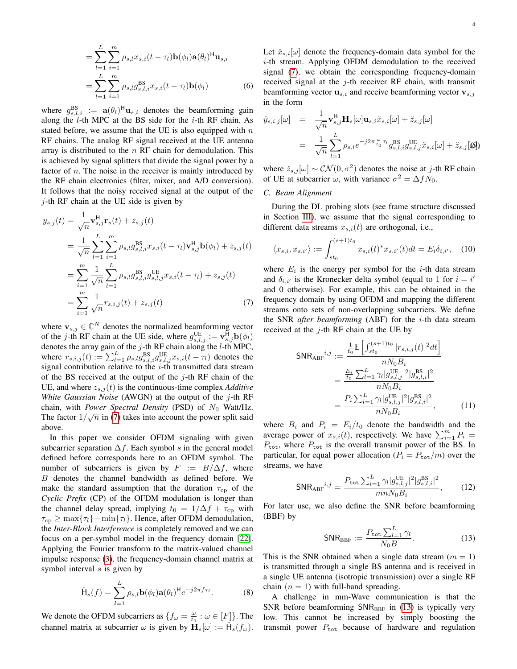$$
= \sum_{l=1}^{L} \sum_{i=1}^{m} \rho_{s,l} x_{s,i} (t - \tau_l) \mathbf{b}(\phi_l) \mathbf{a}(\theta_l)^H \mathbf{u}_{s,i}
$$
  
= 
$$
\sum_{l=1}^{L} \sum_{i=1}^{m} \rho_{s,l} g_{s,l,i}^{BS} x_{s,i} (t - \tau_l) \mathbf{b}(\phi_l)
$$
(6)

where  $g_{s,l,i}^{BS} := \mathbf{a}(\theta_l)^H \mathbf{u}_{s,i}$  denotes the beamforming gain along the  $l$ -th MPC at the BS side for the  $i$ -th RF chain. As stated before, we assume that the UE is also equipped with  $n$ RF chains. The analog RF signal received at the UE antenna array is distributed to the  $n$  RF chain for demodulation. This is achieved by signal splitters that divide the signal power by a factor of  $n$ . The noise in the receiver is mainly introduced by the RF chain electronics (filter, mixer, and A/D conversion). It follows that the noisy received signal at the output of the  $j$ -th RF chain at the UE side is given by

$$
y_{s,j}(t) = \frac{1}{\sqrt{n}} \mathbf{v}_{s,j}^{H} \mathbf{r}_{s}(t) + z_{s,j}(t)
$$
  
\n
$$
= \frac{1}{\sqrt{n}} \sum_{l=1}^{L} \sum_{i=1}^{m} \rho_{s,l} g_{s,l,i}^{BS} x_{s,i}(t-\tau_{l}) \mathbf{v}_{s,j}^{H} \mathbf{b}(\phi_{l}) + z_{s,j}(t)
$$
  
\n
$$
= \sum_{i=1}^{m} \frac{1}{\sqrt{n}} \sum_{l=1}^{L} \rho_{s,l} g_{s,l,i}^{BS} g_{s,l,j}^{UE} x_{s,i}(t-\tau_{l}) + z_{s,j}(t)
$$
  
\n
$$
= \sum_{i=1}^{m} \frac{1}{\sqrt{n}} r_{s,i,j}(t) + z_{s,j}(t)
$$
(7)

where  $\mathbf{v}_{s,j} \in \mathbb{C}^N$  denotes the normalized beamforming vector of the *j*-th RF chain at the UE side, where  $g_{s,l,j}^{\text{UE}} := \mathbf{v}_{s,j}^{\text{H}} \mathbf{b}(\phi_l)$ denotes the array gain of the  $j$ -th RF chain along the  $l$ -th MPC, where  $r_{s,i,j}(t) := \sum_{l=1}^{L} \rho_{s,l} g_{s,l,i}^{\text{BS}} g_{s,l,j}^{\text{UE}} x_{s,i}(t-\tau_l)$  denotes the signal contribution relative to the  $i$ -th transmitted data stream of the BS received at the output of the  $j$ -th RF chain of the UE, and where  $z_{s,i}(t)$  is the continuous-time complex *Additive White Gaussian Noise* (AWGN) at the output of the j-th RF chain, with *Power Spectral Density* (PSD) of  $N_0$  Watt/Hz. The factor  $1/\sqrt{n}$  in [\(7\)](#page-3-0) takes into account the power split said above.

In this paper we consider OFDM signaling with given subcarrier separation  $\Delta f$ . Each symbol s in the general model defined before corresponds here to an OFDM symbol. The number of subcarriers is given by  $F := B/\Delta f$ , where B denotes the channel bandwidth as defined before. We make the standard assumption that the duration  $\tau_{\rm cp}$  of the *Cyclic Prefix* (CP) of the OFDM modulation is longer than the channel delay spread, implying  $t_0 = 1/\Delta f + \tau_{cp}$  with  $\tau_{cp} \ge \max{\lbrace \tau_l \rbrace} - \min{\lbrace \tau_l \rbrace}$ . Hence, after OFDM demodulation, the *Inter-Block Interference* is completely removed and we can focus on a per-symbol model in the frequency domain [\[22\]](#page-12-6). Applying the Fourier transform to the matrix-valued channel impulse response [\(3\)](#page-2-2), the frequency-domain channel matrix at symbol interval s is given by

$$
\check{\mathsf{H}}_s(f) = \sum_{l=1}^L \rho_{s,l} \mathbf{b}(\phi_l) \mathbf{a}(\theta_l)^{\mathsf{H}} e^{-j2\pi f \tau_l}.
$$
 (8)

We denote the OFDM subcarriers as  $\{f_{\omega} = \frac{\omega}{t_0} : \omega \in [F]\}.$  The channel matrix at subcarrier  $\omega$  is given by  $\mathbf{H}_s[\omega] := \dot{\mathsf{H}}_s(f_\omega)$ . Let  $\check{x}_{s,i}[\omega]$  denote the frequency-domain data symbol for the i-th stream. Applying OFDM demodulation to the received signal [\(7\)](#page-3-0), we obtain the corresponding frequency-domain received signal at the  $j$ -th receiver RF chain, with transmit beamforming vector  $\mathbf{u}_{s,i}$  and receive beamforming vector  $\mathbf{v}_{s,j}$ in the form

<span id="page-3-3"></span>
$$
\tilde{y}_{s,i,j}[\omega] = \frac{1}{\sqrt{n}} \mathbf{v}_{s,j}^{\mathsf{H}} \mathbf{H}_s[\omega] \mathbf{u}_{s,i} \tilde{x}_{s,i}[\omega] + \tilde{z}_{s,j}[\omega]
$$
\n
$$
= \frac{1}{\sqrt{n}} \sum_{l=1}^{L} \rho_{s,l} e^{-j2\pi \frac{\omega}{t_0} \tau_l} g_{s,l,i}^{\mathsf{BS}} g_{s,l,j}^{\mathsf{UE}} \tilde{x}_{s,i}[\omega] + \tilde{z}_{s,j}[\omega],
$$

where  $\check{z}_{s,j}[\omega] \sim \mathcal{CN}(0, \sigma^2)$  denotes the noise at j-th RF chain of UE at subcarrier  $\omega$ , with variance  $\sigma^2 = \Delta f N_0$ .

# *C. Beam Alignment*

During the DL probing slots (see frame structure discussed in Section [III\)](#page-4-0), we assume that the signal corresponding to different data streams  $x_{s,i}(t)$  are orthogonal, i.e.,

$$
\langle x_{s,i}, x_{s,i'} \rangle := \int_{st_0}^{(s+1)t_0} x_{s,i}(t)^* x_{s,i'}(t) dt = E_i \delta_{i,i'}, \quad (10)
$$

<span id="page-3-0"></span>where  $E_i$  is the energy per symbol for the *i*-th data stream and  $\delta_{i,i'}$  is the Kronecker delta symbol (equal to 1 for  $i = i'$ and 0 otherwise). For example, this can be obtained in the frequency domain by using OFDM and mapping the different streams onto sets of non-overlapping subcarriers. We define the SNR *after beamforming* (ABF) for the i-th data stream received at the  $j$ -th RF chain at the UE by

$$
\begin{split} \text{SNR}_{\text{ABF}}^{i,j} &:= \frac{\frac{1}{t_0} \mathbb{E} \left[ \int_{st_0}^{(s+1)t_0} |r_{s,i,j}(t)|^2 dt \right]}{n N_0 B_i} \\ &= \frac{\frac{E_i}{t_0} \sum_{l=1}^L \gamma_l |g_{s,l,j}^{\text{UE}}|^2 |g_{s,l,i}^{\text{BS}}|^2}{n N_0 B_i} \\ &= \frac{P_i \sum_{l=1}^L \gamma_l |g_{s,l,j}^{\text{UE}}|^2 |g_{s,l,i}^{\text{BS}}|^2}{n N_0 B_i}, \end{split} \tag{11}
$$

where  $B_i$  and  $P_i = E_i/t_0$  denote the bandwidth and the average power of  $x_{s,i}(t)$ , respectively. We have  $\sum_{i=1}^{m} P_i =$  $P_{\text{tot}}$ , where  $P_{\text{tot}}$  is the overall transmit power of the BS. In particular, for equal power allocation ( $P_i = P_{\text{tot}}/m$ ) over the streams, we have

$$
\text{SNR}_{\text{ABF}}^{i,j} = \frac{P_{\text{tot}} \sum_{l=1}^{L} \gamma_l |g_{s,l,j}^{\text{UE}}|^2 |g_{s,l,i}^{\text{BS}}|^2}{mnN_0 B_i},\tag{12}
$$

For later use, we also define the SNR before beamforming (BBF) by

<span id="page-3-4"></span><span id="page-3-1"></span>
$$
\text{SNR}_{\text{BBF}} := \frac{P_{\text{tot}} \sum_{l=1}^{L} \gamma_l}{N_0 B}.
$$
 (13)

This is the SNR obtained when a single data stream  $(m = 1)$ is transmitted through a single BS antenna and is received in a single UE antenna (isotropic transmission) over a single RF chain  $(n = 1)$  with full-band spreading.

<span id="page-3-2"></span>A challenge in mm-Wave communication is that the SNR before beamforming  $SNR_{BBF}$  in [\(13\)](#page-3-1) is typically very low. This cannot be increased by simply boosting the transmit power  $P_{\text{tot}}$  because of hardware and regulation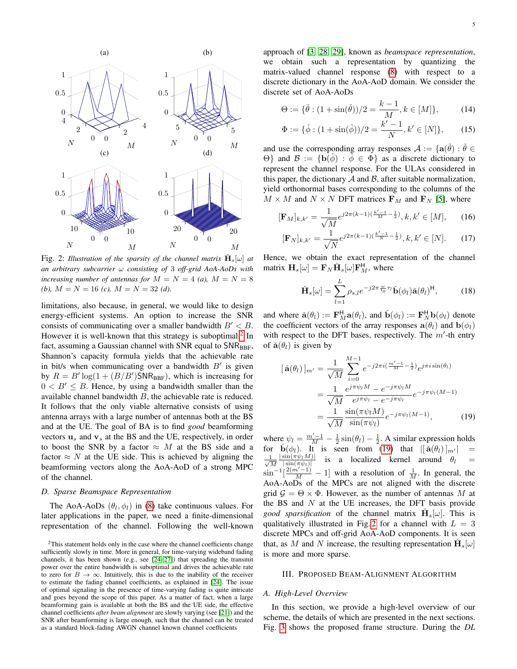<span id="page-4-3"></span>

Fig. 2: *Illustration of the sparsity of the channel matrix*  $\check{H}_s[\omega]$  *at an arbitrary subcarrier* ω *consisting of* 3 *off-grid AoA-AoDs with increasing number of antennas for*  $M = N = 4$  *(a),*  $M = N = 8$ *(b),*  $M = N = 16$  *(c),*  $M = N = 32$  *(d)*.

limitations, also because, in general, we would like to design energy-efficient systems. An option to increase the SNR consists of communicating over a smaller bandwidth  $B' < B$ . However it is well-known that this strategy is suboptimal. $2$  In fact, assuming a Gaussian channel with SNR equal to  $SNR_{BBF}$ , Shannon's capacity formula yields that the achievable rate in bit/s when communicating over a bandwidth  $B'$  is given by  $R = B' \log(1 + (B/B') \text{SNR}_{\text{BBF}})$ , which is increasing for  $0 < B' \leq B$ . Hence, by using a bandwidth smaller than the available channel bandwidth B, the achievable rate is reduced. It follows that the only viable alternative consists of using antenna arrays with a large number of antennas both at the BS and at the UE. The goal of BA is to find *good* beamforming vectors  $\mathbf{u}_s$  and  $\mathbf{v}_s$  at the BS and the UE, respectively, in order to boost the SNR by a factor  $\approx$  M at the BS side and a factor  $\approx N$  at the UE side. This is achieved by aligning the beamforming vectors along the AoA-AoD of a strong MPC of the channel.

### <span id="page-4-4"></span>*D. Sparse Beamspace Representation*

The AoA-AoDs  $(\theta_l, \phi_l)$  in [\(8\)](#page-3-2) take continuous values. For later applications in the paper, we need a finite-dimensional representation of the channel. Following the well-known approach of [\[3,](#page-11-2) [28,](#page-12-10) [29\]](#page-12-11), known as *beamspace representation*, we obtain such a representation by quantizing the matrix-valued channel response [\(8\)](#page-3-2) with respect to a discrete dictionary in the AoA-AoD domain. We consider the discrete set of AoA-AoDs

$$
\Theta := \{ \check{\theta} : (1 + \sin(\check{\theta})) / 2 = \frac{k - 1}{M}, k \in [M] \},\tag{14}
$$

$$
\Phi := {\check{\phi}: (1 + \sin(\check{\phi}))/2} = \frac{k'-1}{N}, k' \in [N] },\qquad(15)
$$

and use the corresponding array responses  $\mathcal{A} := \{ \mathbf{a}(\check{\theta}) : \check{\theta} \in \mathbb{R}^N \}$  $\Theta$ } and  $\mathcal{B} := \{b(\phi) : \phi \in Φ\}$  as a discrete dictionary to represent the channel response. For the ULAs considered in this paper, the dictionary  $A$  and  $B$ , after suitable normalization, yield orthonormal bases corresponding to the columns of the  $M \times M$  and  $N \times N$  DFT matrices  $\mathbf{F}_M$  and  $\mathbf{F}_N$  [\[5\]](#page-11-11), where

$$
[\mathbf{F}_M]_{k,k'} = \frac{1}{\sqrt{M}} e^{j2\pi(k-1)\left(\frac{k'-1}{M} - \frac{1}{2}\right)}, k, k' \in [M],\qquad(16)
$$

$$
[\mathbf{F}_N]_{k,k'} = \frac{1}{\sqrt{N}} e^{j2\pi(k-1)\left(\frac{k'-1}{N} - \frac{1}{2}\right)}, k, k' \in [N].\tag{17}
$$

Hence, we obtain the exact representation of the channel matrix  $\mathbf{H}_s[\omega] = \mathbf{F}_N \check{\mathbf{H}}_s[\omega] \mathbf{F}_M^{\mathsf{H}}$ , where

$$
\check{\mathbf{H}}_{s}[\omega] = \sum_{l=1}^{L} \rho_{s,l} e^{-j2\pi \frac{\omega}{t_0} \tau_l} \check{\mathbf{b}}(\phi_l) \check{\mathbf{a}}(\theta_l)^{\mathsf{H}}, \tag{18}
$$

and where  $\check{\mathbf{a}}(\theta_l) := \mathbf{F}_M^{\mathsf{H}} \mathbf{a}(\theta_l)$ , and  $\check{\mathbf{b}}(\phi_l) := \mathbf{F}_N^{\mathsf{H}} \mathbf{b}(\phi_l)$  denote the coefficient vectors of the array responses  $\mathbf{a}(\theta_l)$  and  $\mathbf{b}(\phi_l)$ with respect to the DFT bases, respectively. The  $m'$ -th entry of  $\check{a}(\theta)$  is given by

<span id="page-4-2"></span>
$$
[\check{\mathbf{a}}(\theta_l)]_{m'} = \frac{1}{\sqrt{M}} \sum_{i=0}^{M-1} e^{-j2\pi i (\frac{m'-1}{M} - \frac{1}{2})} e^{j\pi i \sin(\theta_l)}
$$
  
= 
$$
\frac{1}{\sqrt{M}} \frac{e^{j\pi \psi_l M} - e^{-j\pi \psi_l M}}{e^{j\pi \psi_l} - e^{-j\pi \psi_l}} e^{-j\pi \psi_l (M-1)}
$$
  
= 
$$
\frac{1}{\sqrt{M}} \frac{\sin(\pi \psi_l M)}{\sin(\pi \psi_l)} e^{-j\pi \psi_l (M-1)},
$$
(19)

where  $\psi_l = \frac{m'-1}{M} - \frac{1}{2} \sin(\theta_l) - \frac{1}{2}$ . A similar expression holds for  $\dot{\mathbf{b}}(\phi_l)$ . It is seen from [\(19\)](#page-4-2) that  $\left| \tilde{\mathbf{a}}(\theta_l) \right|_{m'}$  $\frac{1}{2}$  $\overline{M}$  |  $\sin(\pi \psi_l)$ |  $|\sin(\pi \psi_l M)|$ is a localized kernel around  $\theta_l$  $\sin^{-1}\left[\frac{2(m'-1)}{M}-1\right]$  with a resolution of  $\frac{1}{M}$ . In general, the AoA-AoDs of the MPCs are not aligned with the discrete grid  $\mathcal{G} = \Theta \times \Phi$ . However, as the number of antennas M at the BS and  $N$  at the UE increases, the DFT basis provide *good sparsification* of the channel matrix  $\check{H}_s[\omega]$ . This is qualitatively illustrated in Fig. [2](#page-4-3) for a channel with  $L = 3$ discrete MPCs and off-grid AoA-AoD components. It is seen that, as M and N increase, the resulting representation  $\check{\mathbf{H}}_s[\omega]$ is more and more sparse.

# <span id="page-4-0"></span>III. PROPOSED BEAM-ALIGNMENT ALGORITHM

### <span id="page-4-5"></span>*A. High-Level Overview*

In this section, we provide a high-level overview of our scheme, the details of which are presented in the next sections. Fig. [3](#page-5-0) shows the proposed frame structure. During the *DL*

<span id="page-4-1"></span><sup>&</sup>lt;sup>2</sup>This statement holds only in the case where the channel coefficients change sufficiently slowly in time. More in general, for time-varying wideband fading channels, it has been shown (e.g., see [\[24](#page-12-8)[–27\]](#page-12-9)) that spreading the transmit power over the entire bandwidth is suboptimal and drives the achievable rate to zero for  $B \to \infty$ . Intuitively, this is due to the inability of the receiver to estimate the fading channel coefficients, as explained in [\[24\]](#page-12-8). The issue of optimal signaling in the presence of time-varying fading is quite intricate and goes beyond the scope of this paper. As a matter of fact, when a large beamforming gain is available at both the BS and the UE side, the effective channel coefficients *after beam alignment* are slowly varying (see [\[21\]](#page-12-5)) and the SNR after beamforming is large enough, such that the channel can be treated as a standard block-fading AWGN channel known channel coefficients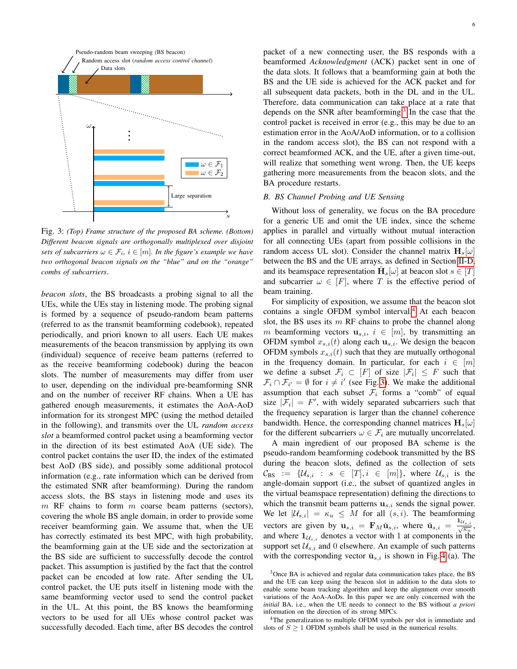<span id="page-5-0"></span>

Fig. 3: *(Top) Frame structure of the proposed BA scheme. (Bottom) Different beacon signals are orthogonally multiplexed over disjoint sets of subcarriers*  $\omega \in \mathcal{F}_i$ ,  $i \in [m]$ *. In the figure's example we have two orthogonal beacon signals on the "blue" and on the "orange" combs of subcarriers*.

*beacon slots*, the BS broadcasts a probing signal to all the UEs, while the UEs stay in listening mode. The probing signal is formed by a sequence of pseudo-random beam patterns (referred to as the transmit beamforming codebook), repeated periodically, and priori known to all users. Each UE makes measurements of the beacon transmission by applying its own (individual) sequence of receive beam patterns (referred to as the receive beamforming codebook) during the beacon slots. The number of measurements may differ from user to user, depending on the individual pre-beamforming SNR and on the number of receiver RF chains. When a UE has gathered enough measurements, it estimates the AoA-AoD information for its strongest MPC (using the method detailed in the following), and transmits over the UL *random access slot* a beamformed control packet using a beamforming vector in the direction of its best estimated AoA (UE side). The control packet contains the user ID, the index of the estimated best AoD (BS side), and possibly some additional protocol information (e.g., rate information which can be derived from the estimated SNR after beamforming). During the random access slots, the BS stays in listening mode and uses its  $m$  RF chains to form  $m$  coarse beam patterns (sectors), covering the whole BS angle domain, in order to provide some receiver beamforming gain. We assume that, when the UE has correctly estimated its best MPC, with high probability, the beamforming gain at the UE side and the sectorization at the BS side are sufficient to successfully decode the control packet. This assumption is justified by the fact that the control packet can be encoded at low rate. After sending the UL control packet, the UE puts itself in listening mode with the same beamforming vector used to send the control packet in the UL. At this point, the BS knows the beamforming vectors to be used for all UEs whose control packet was successfully decoded. Each time, after BS decodes the control 6

packet of a new connecting user, the BS responds with a beamformed *Acknowledgment* (ACK) packet sent in one of the data slots. It follows that a beamforming gain at both the BS and the UE side is achieved for the ACK packet and for all subsequent data packets, both in the DL and in the UL. Therefore, data communication can take place at a rate that depends on the SNR after beamforming.<sup>[3](#page-5-1)</sup> In the case that the control packet is received in error (e.g., this may be due to an estimation error in the AoA/AoD information, or to a collision in the random access slot), the BS can not respond with a correct beamformed ACK, and the UE, after a given time-out, will realize that something went wrong. Then, the UE keeps gathering more measurements from the beacon slots, and the BA procedure restarts.

## <span id="page-5-3"></span>*B. BS Channel Probing and UE Sensing*

Without loss of generality, we focus on the BA procedure for a generic UE and omit the UE index, since the scheme applies in parallel and virtually without mutual interaction for all connecting UEs (apart from possible collisions in the random access UL slot). Consider the channel matrix  $H_s[\omega]$ between the BS and the UE arrays, as defined in Section [II-D,](#page-4-4) and its beamspace representation  $\check{H}_s[\omega]$  at beacon slot  $s \in [T]$ and subcarrier  $\omega \in [F]$ , where T is the effective period of beam training.

For simplicity of exposition, we assume that the beacon slot contains a single OFDM symbol interval. $4$  At each beacon slot, the BS uses its  $m$  RF chains to probe the channel along m beamforming vectors  $u_{s,i}$ ,  $i \in [m]$ , by transmitting an OFDM symbol  $x_{s,i}(t)$  along each  $\mathbf{u}_{s,i}$ . We design the beacon OFDM symbols  $x_{s,i}(t)$  such that they are mutually orthogonal in the frequency domain. In particular, for each  $i \in [m]$ we define a subset  $\mathcal{F}_i \subset [F]$  of size  $|\mathcal{F}_i| \leq F$  such that  $\mathcal{F}_i \cap \mathcal{F}_{i'} = \emptyset$  for  $i \neq i'$  (see Fig. [3\)](#page-5-0). We make the additional assumption that each subset  $F_i$  forms a "comb" of equal size  $|\mathcal{F}_i| = F'$ , with widely separated subcarriers such that the frequency separation is larger than the channel coherence bandwidth. Hence, the corresponding channel matrices  $H_s[\omega]$ for the different subcarriers  $\omega \in \mathcal{F}_i$  are mutually uncorrelated.

A main ingredient of our proposed BA scheme is the pseudo-random beamforming codebook transmitted by the BS during the beacon slots, defined as the collection of sets  $\mathcal{C}_{BS} := \{ \mathcal{U}_{s,i} : s \in [T], i \in [m] \}$ , where  $\mathcal{U}_{s,i}$  is the angle-domain support (i.e., the subset of quantized angles in the virtual beamspace representation) defining the directions to which the transmit beam patterns  $\mathbf{u}_{s,i}$  sends the signal power. We let  $|\mathcal{U}_{s,i}| = \kappa_u \leq M$  for all  $(s,i)$ . The beamforming vectors are given by  $\mathbf{u}_{s,i} = \mathbf{F}_M \check{\mathbf{u}}_{s,i}$ , where  $\check{\mathbf{u}}_{s,i} = \frac{\mathbf{1}_{\mathcal{U}_{s,i}}}{\sqrt{\kappa_u}}$ , and where  $\mathbf{1}_{\mathcal{U}_{s,i}}$  denotes a vector with 1 at components in the support set  $\mathcal{U}_{s,i}$  and 0 elsewhere. An example of such patterns with the corresponding vector  $\check{\mathbf{u}}_{s,i}$  is shown in Fig. [4](#page-8-0) (a). The

<span id="page-5-2"></span><sup>4</sup>The generalization to multiple OFDM symbols per slot is immediate and slots of  $S \geq 1$  OFDM symbols shall be used in the numerical results.

<span id="page-5-1"></span><sup>&</sup>lt;sup>3</sup>Once BA is achieved and regular data communication takes place, the BS and the UE can keep using the beacon slot in addition to the data slots to enable some beam tracking algorithm and keep the alignment over smooth variations of the AoA-AoDs. In this paper we are only concerned with the *initial* BA, i.e., when the UE needs to connect to the BS without *a priori* information on the direction of its strong MPCs.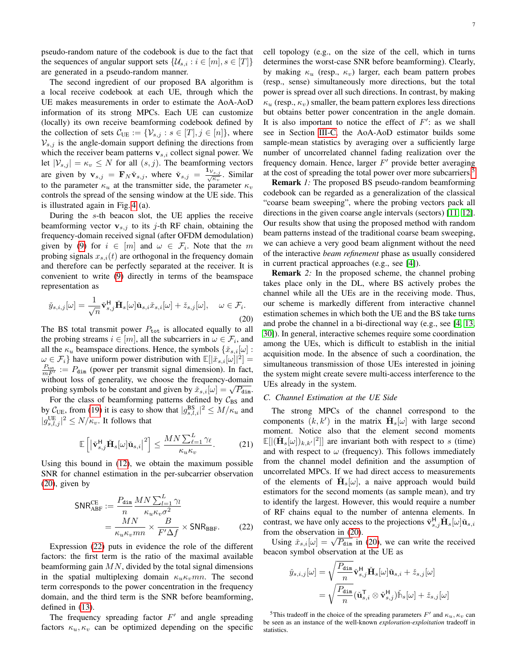pseudo-random nature of the codebook is due to the fact that the sequences of angular support sets  $\{\mathcal{U}_{s,i} : i \in [m], s \in [T]\}\$ are generated in a pseudo-random manner.

The second ingredient of our proposed BA algorithm is a local receive codebook at each UE, through which the UE makes measurements in order to estimate the AoA-AoD information of its strong MPCs. Each UE can customize (locally) its own receive beamforming codebook defined by the collection of sets  $\mathcal{C}_{\text{UE}} := \{ \mathcal{V}_{s,j} : s \in [T], j \in [n] \}$ , where  $V_{s,j}$  is the angle-domain support defining the directions from which the receiver beam patterns  $v_{s,i}$  collect signal power. We let  $|V_{s,j}| = \kappa_v \leq N$  for all  $(s, j)$ . The beamforming vectors are given by  $\mathbf{v}_{s,j} = \mathbf{F}_N \check{\mathbf{v}}_{s,j}$ , where  $\check{\mathbf{v}}_{s,j} = \frac{\mathbf{1}_{\mathcal{V}_{s,j}}}{\sqrt{\kappa_v}}$ . Similar to the parameter  $\kappa_u$  at the transmitter side, the parameter  $\kappa_v$ controls the spread of the sensing window at the UE side. This is illustrated again in Fig. [4](#page-8-0) (a).

During the s-th beacon slot, the UE applies the receive beamforming vector  $v_{s,j}$  to its j-th RF chain, obtaining the frequency-domain received signal (after OFDM demodulation) given by [\(9\)](#page-3-3) for  $i \in [m]$  and  $\omega \in \mathcal{F}_i$ . Note that the m probing signals  $x_{s,i}(t)$  are orthogonal in the frequency domain and therefore can be perfectly separated at the receiver. It is convenient to write [\(9\)](#page-3-3) directly in terms of the beamspace representation as

<span id="page-6-0"></span>
$$
\check{y}_{s,i,j}[\omega] = \frac{1}{\sqrt{n}} \check{\mathbf{v}}_{s,j}^{\mathsf{H}} \check{\mathbf{H}}_s[\omega] \check{\mathbf{u}}_{s,i} \check{x}_{s,i}[\omega] + \check{z}_{s,j}[\omega], \quad \omega \in \mathcal{F}_i.
$$
\n(20)

The BS total transmit power  $P_{\text{tot}}$  is allocated equally to all the probing streams  $i \in [m]$ , all the subcarriers in  $\omega \in \mathcal{F}_i$ , and all the  $\kappa_u$  beamspace directions. Hence, the symbols  $\{\check{x}_{s,i}[\omega]:\}$  $\omega \in \mathcal{F}_i$  have uniform power distribution with  $\mathbb{E}[|\tilde{x}_{s,i}[\omega]|^2] =$  $\frac{P_{\text{tot}}}{mF'} := P_{\text{dim}}$  (power per transmit signal dimension). In fact, without loss of generality, we choose the frequency-domain probing symbols to be constant and given by  $\tilde{x}_{s,i}[\omega] = \sqrt{P_{\text{dim}}}.$ 

For the class of beamforming patterns defined by  $C_{BS}$  and by  $C_{\text{UE}}$ , from [\(19\)](#page-4-2) it is easy to show that  $|g_{s,l,i}^{\text{BS}}|^2 \leq M/\kappa_u$  and  $|g_{s,l,j}^{UE}|^2 \leq N/\kappa_v$ . It follows that

$$
\mathbb{E}\left[\left|\check{\mathbf{v}}_{s,j}^{H}\check{\mathbf{H}}_{s}[\omega]\check{\mathbf{u}}_{s,i}\right|^{2}\right] \leq \frac{MN\sum_{\ell=1}^{L}\gamma_{\ell}}{\kappa_{u}\kappa_{v}}.\tag{21}
$$

Using this bound in [\(12\)](#page-3-4), we obtain the maximum possible SNR for channel estimation in the per-subcarrier observation [\(20\)](#page-6-0), given by

$$
\begin{split} \text{SNR}_{\text{ABF}}^{\text{CE}} &:= \frac{P_{\text{dim}}}{n} \frac{M N \sum_{l=1}^{L} \gamma_{l}}{\kappa_{u} \kappa_{v} \sigma^{2}} \\ &= \frac{M N}{\kappa_{u} \kappa_{v} m n} \times \frac{B}{F' \Delta f} \times \text{SNR}_{\text{BBF}}. \end{split} \tag{22}
$$

Expression [\(22\)](#page-6-1) puts in evidence the role of the different factors: the first term is the ratio of the maximal available beamforming gain  $MN$ , divided by the total signal dimensions in the spatial multiplexing domain  $\kappa_u \kappa_v mn$ . The second term corresponds to the power concentration in the frequency domain, and the third term is the SNR before beamforming, defined in [\(13\)](#page-3-1).

The frequency spreading factor  $F'$  and angle spreading factors  $\kappa_u, \kappa_v$  can be optimized depending on the specific cell topology (e.g., on the size of the cell, which in turns determines the worst-case SNR before beamforming). Clearly, by making  $\kappa_u$  (resp.,  $\kappa_v$ ) larger, each beam pattern probes (resp., sense) simultaneously more directions, but the total power is spread over all such directions. In contrast, by making  $\kappa_u$  (resp.,  $\kappa_v$ ) smaller, the beam pattern explores less directions but obtains better power concentration in the angle domain. It is also important to notice the effect of  $F'$ : as we shall see in Section [III-C,](#page-6-2) the AoA-AoD estimator builds some sample-mean statistics by averaging over a sufficiently large number of uncorrelated channel fading realization over the frequency domain. Hence, larger  $F'$  provide better averaging at the cost of spreading the total power over more subcarriers.[5](#page-6-3)

Remark *1:* The proposed BS pseudo-random beamforming codebook can be regarded as a generalization of the classical "coarse beam sweeping", where the probing vectors pack all directions in the given coarse angle intervals (sectors) [\[11,](#page-11-7) [12\]](#page-11-8). Our results show that using the proposed method with random beam patterns instead of the traditional coarse beam sweeping, we can achieve a very good beam alignment without the need of the interactive *beam refinement* phase as usually considered in current practical approaches (e.g., see [\[4\]](#page-11-4)).

Remark *2:* In the proposed scheme, the channel probing takes place only in the DL, where BS actively probes the channel while all the UEs are in the receiving mode. Thus, our scheme is markedly different from interactive channel estimation schemes in which both the UE and the BS take turns and probe the channel in a bi-directional way (e.g., see [\[4,](#page-11-4) [13,](#page-11-9) [30\]](#page-12-12)). In general, interactive schemes require some coordination among the UEs, which is difficult to establish in the initial acquisition mode. In the absence of such a coordination, the simultaneous transmission of those UEs interested in joining the system might create severe multi-access interference to the UEs already in the system.

## <span id="page-6-2"></span>*C. Channel Estimation at the UE Side*

The strong MPCs of the channel correspond to the components  $(k, k')$  in the matrix  $\check{H}_s[\omega]$  with large second moment. Notice also that the element second moments  $\mathbb{E}[|(\mathbf{\check{H}}_s[\omega])_{k,k'}|^2]$  are invariant both with respect to s (time) and with respect to  $\omega$  (frequency). This follows immediately from the channel model definition and the assumption of uncorrelated MPCs. If we had direct access to measurements of the elements of  $\check{H}_s[\omega]$ , a naive approach would build estimators for the second moments (as sample mean), and try to identify the largest. However, this would require a number of RF chains equal to the number of antenna elements. In contrast, we have only access to the projections  $\check{\mathbf{v}}_{s,j}^{\mathsf{H}}\check{\mathbf{H}}_s[\omega]\check{\mathbf{u}}_{s,i}$ from the observation in [\(20\)](#page-6-0).

<span id="page-6-1"></span>Using  $\tilde{x}_{s,i}[\omega] = \sqrt{P_{\text{dim}}}$  in [\(20\)](#page-6-0), we can write the received beacon symbol observation at the UE as

$$
\check{y}_{s,i,j}[\omega] = \sqrt{\frac{P_{\text{dim}}}{n}} \check{\mathbf{v}}_{s,j}^{\text{H}} \check{\mathbf{H}}_s[\omega] \check{\mathbf{u}}_{s,i} + \check{z}_{s,j}[\omega] \n= \sqrt{\frac{P_{\text{dim}}}{n}} (\check{\mathbf{u}}_{s,i}^{\text{T}} \otimes \check{\mathbf{v}}_{s,j}^{\text{H}}) \check{\mathbb{M}}_s[\omega] + \check{z}_{s,j}[\omega]
$$

<span id="page-6-3"></span><sup>5</sup>This tradeoff in the choice of the spreading parameters  $F'$  and  $\kappa_u, \kappa_v$  can be seen as an instance of the well-known *exploration-exploitation* tradeoff in statistics.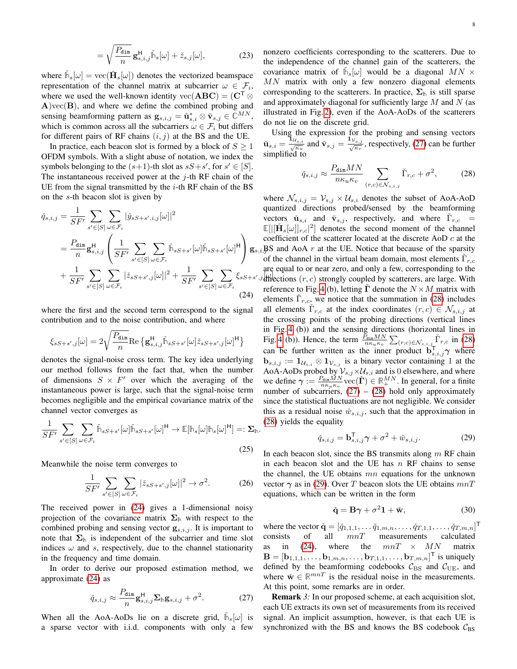$$
= \sqrt{\frac{P_{\dim}}{n}} \mathbf{g}_{s,i,j}^{\mathsf{H}} \tilde{\mathbb{h}}_s[\omega] + \tilde{z}_{s,j}[\omega], \tag{23}
$$

where  $\tilde{h}_s[\omega] = \text{vec}(\check{H}_s[\omega])$  denotes the vectorized beamspace representation of the channel matrix at subcarrier  $\omega \in \mathcal{F}_i$ , where we used the well-known identity vec( $ABC$ ) = ( $C^T$   $\otimes$  $A$ )vec $(B)$ , and where we define the combined probing and sensing beamforming pattern as  $\mathbf{g}_{s,i,j} = \check{\mathbf{u}}^*_{s,i} \otimes \check{\mathbf{v}}_{s,j} \in \mathbb{C}^{MN}$ , which is common across all the subcarriers  $\omega \in \mathcal{F}_i$  but differs for different pairs of RF chains  $(i, j)$  at the BS and the UE.

In practice, each beacon slot is formed by a block of  $S \geq 1$ OFDM symbols. With a slight abuse of notation, we index the symbols belonging to the  $(s+1)$ -th slot as  $sS + s'$ , for  $s' \in [S]$ . The instantaneous received power at the  $j$ -th RF chain of the UE from the signal transmitted by the  $i$ -th RF chain of the BS on the s-th beacon slot is given by

$$
\check{q}_{s,i,j} = \frac{1}{SF'} \sum_{s' \in [S]} \sum_{\omega \in \mathcal{F}_i} |\check{y}_{sS+s',i,j}[\omega]|^2 \n= \frac{P_{\text{dim}}}{n} \mathbf{g}_{s,i,j}^{\text{H}} \left( \frac{1}{SF'} \sum_{s' \in [S]} \sum_{\omega \in \mathcal{F}_i} \check{\mathbb{M}}_{sS+s'}[\omega] \check{\mathbb{M}}_{sS+s'}[\omega]^{\text{H}} \right) \mathbf{g}_s \n+ \frac{1}{SF'} \sum_{s' \in [S]} \sum_{\omega \in \mathcal{F}_i} |\check{z}_{sS+s',j}[\omega]|^2 + \frac{1}{SF'} \sum_{s' \in [S]} \sum_{\omega \in \mathcal{F}_i} \xi_{sS+s'} \tag{24}
$$

where the first and the second term correspond to the signal contribution and to the noise contribution, and where

$$
\xi_{sS+s',j}[\omega]=2\sqrt{\frac{P_{\text{dim}}}{n}}\text{Re}\left\{\mathbf{g}_{s,i,j}^{\text{H}}\check{\mathbb{h}}_{sS+s'}[\omega]\check{z}_{sS+s',j}[\omega]^{\text{H}}\right\}
$$

denotes the signal-noise cross term. The key idea underlying our method follows from the fact that, when the number of dimensions  $S \times F'$  over which the averaging of the instantaneous power is large, such that the signal-noise term becomes negligible and the empirical covariance matrix of the channel vector converges as

$$
\frac{1}{SF'}\sum_{s'\in[S]}\sum_{\omega\in\mathcal{F}_i}\tilde{\mathbb{M}}_{sS+s'}[\omega]\tilde{\mathbb{M}}_{sS+s'}[\omega]^{\mathsf{H}} \to \mathbb{E}[\mathbb{h}_s[\omega]\mathbb{h}_s[\omega]^{\mathsf{H}}] =: \Sigma_{\mathbb{H}}.
$$
\n(25)

Meanwhile the noise term converges to

$$
\frac{1}{SF'} \sum_{s' \in [S]} \sum_{\omega \in \mathcal{F}_i} |\check{z}_{sS+s',j}[\omega]|^2 \to \sigma^2.
$$
 (26)

The received power in [\(24\)](#page-7-0) gives a 1-dimensional noisy projection of the covariance matrix  $\Sigma_{\mathbb{h}}$  with respect to the combined probing and sensing vector  $\mathbf{g}_{s,i,j}$ . It is important to note that  $\Sigma_{\mathbb{h}}$  is independent of the subcarrier and time slot indices  $\omega$  and s, respectively, due to the channel stationarity in the frequency and time domain.

In order to derive our proposed estimation method, we approximate [\(24\)](#page-7-0) as

$$
\check{q}_{s,i,j} \approx \frac{P_{\text{dim}}}{n} \mathbf{g}_{s,i,j}^{\text{H}} \mathbf{\Sigma}_{\text{th}} \mathbf{g}_{s,i,j} + \sigma^2.
$$
 (27)

When all the AoA-AoDs lie on a discrete grid,  $\tilde{h}_s[\omega]$  is a sparse vector with i.i.d. components with only a few nonzero coefficients corresponding to the scatterers. Due to the independence of the channel gain of the scatterers, the covariance matrix of  $\tilde{h}_s[\omega]$  would be a diagonal  $MN \times$  $MN$  matrix with only a few nonzero diagonal elements corresponding to the scatterers. In practice,  $\Sigma_{\parallel}$  is still sparse and approximately diagonal for sufficiently large  $M$  and  $N$  (as illustrated in Fig. [2\)](#page-4-3), even if the AoA-AoDs of the scatterers do not lie on the discrete grid.

Using the expression for the probing and sensing vectors  $\check{\mathbf{u}}_{s,i} = \frac{\mathbf{1}_{\mathcal{U}_{s,i}}}{\sqrt{\kappa_u}}$  and  $\check{\mathbf{v}}_{s,j} = \frac{\mathbf{1}_{\mathcal{V}_{s,j}}}{\sqrt{\kappa_v}}$ , respectively, [\(27\)](#page-7-1) can be further simplified to

<span id="page-7-2"></span>
$$
\check{q}_{s,i,j} \approx \frac{P_{\text{dim}} MN}{n\kappa_u \kappa_v} \sum_{(r,c)\in\mathcal{N}_{s,i,j}} \check{\Gamma}_{r,c} + \sigma^2,\tag{28}
$$

<span id="page-7-0"></span> $g_{s,i}$  BS and AoA r at the UE. Notice that because of the sparsity  $\hat{y}$  directions  $(r, c)$  strongly coupled by scatterers, are large. With where  $\mathcal{N}_{s,i,j} = \mathcal{V}_{s,j} \times \mathcal{U}_{s,i}$  denotes the subset of AoA-AoD quantized directions probed/sensed by the beamforming vectors  $\check{\mathbf{u}}_{s,i}$  and  $\check{\mathbf{v}}_{s,j}$ , respectively, and where  $\check{\Gamma}_{r,c}$  =  $\mathbb{E}[||\mathbf{\check{H}}_s[\omega]|_{r,c}|^2]$  denotes the second moment of the channel coefficient of the scatterer located at the discrete AoD c at the of the channel in the virtual beam domain, most elements  $\tilde{\Gamma}_{r,c}$ are equal to or near zero, and only a few, corresponding to the reference to Fig. [4](#page-8-0) (b), letting  $\Gamma$  denote the  $N \times M$  matrix with elements  $\check{\Gamma}_{r,c}$ , we notice that the summation in [\(28\)](#page-7-2) includes all elements  $\check{\Gamma}_{r,c}$  at the index coordinates  $(r, c) \in \mathcal{N}_{s,i,j}$  at the crossing points of the probing directions (vertical lines in Fig. [4](#page-8-0) (b)) and the sensing directions (horizontal lines in Fig. [4](#page-8-0) (b)). Hence, the term  $\frac{\bar{P}_{\text{dim}MN}}{n\kappa_u\kappa_v} \sum_{(r,c)\in \mathcal{N}_{s,i,j}} \tilde{\Gamma}_{r,c}$  in [\(28\)](#page-7-2) can be further written as the inner product  $\mathbf{b}_{s,i,j}^{\mathsf{T}} \boldsymbol{\gamma}$  where  $\mathbf{b}_{s,i,j} := \mathbf{1}_{\mathcal{U}_{s,i}} \otimes \mathbf{1}_{\mathcal{V}_{s,j}}$  is a binary vector containing 1 at the AoA-AoDs probed by  $V_{s,j} \times U_{s,i}$  and is 0 elsewhere, and where we define  $\gamma := \frac{P_{\text{dim}}\tilde{M}N}{n\kappa_u\kappa_v}$  vec $(\check{\Gamma}) \in \mathbb{R}_+^{MN}$ . In general, for a finite number of subcarriers,  $(27) - (28)$  $(27) - (28)$  $(27) - (28)$  hold only approximately since the statistical fluctuations are not negligible. We consider this as a residual noise  $\check{w}_{s,i,j}$ , such that the approximation in [\(28\)](#page-7-2) yields the equality

<span id="page-7-3"></span>
$$
\check{q}_{s,i,j} = \mathbf{b}_{s,i,j}^{\mathsf{T}} \boldsymbol{\gamma} + \sigma^2 + \check{w}_{s,i,j}.
$$
 (29)

In each beacon slot, since the BS transmits along  $m$  RF chain in each beacon slot and the UE has  $n$  RF chains to sense the channel, the UE obtains  $mn$  equations for the unknown vector  $\gamma$  as in [\(29\)](#page-7-3). Over T beacon slots the UE obtains  $mnT$ equations, which can be written in the form

<span id="page-7-4"></span>
$$
\check{\mathbf{q}} = \mathbf{B}\boldsymbol{\gamma} + \sigma^2 \mathbf{1} + \check{\mathbf{w}},\tag{30}
$$

where the vector  $\check{\mathbf{q}} = [\check{q}_{1,1,1}, \dots \check{q}_{1,m,n}, \dots, \check{q}_{T,1,1}, \dots, \check{q}_{T,m,n}]^{\mathsf{T}}$  $consists$  of all  $mnT$  measurements calculated as in [\(24\)](#page-7-0), where the  $mnT \times MN$  matrix  $\mathbf{B} = [\mathbf{b}_{1,1,1}, \dots, \mathbf{b}_{1,m,n}, \dots, \mathbf{b}_{T,1,1}, \dots, \mathbf{b}_{T,m,n}]^{\mathsf{T}}$  is uniquely defined by the beamforming codebooks  $C_{BS}$  and  $C_{UE}$ , and where  $\check{\mathbf{w}} \in \mathbb{R}^{mn}$  is the residual noise in the measurements. At this point, some remarks are in order.

<span id="page-7-1"></span>**Remark** 3: In our proposed scheme, at each acquisition slot, each UE extracts its own set of measurements from its received signal. An implicit assumption, however, is that each UE is synchronized with the BS and knows the BS codebook  $C_{BS}$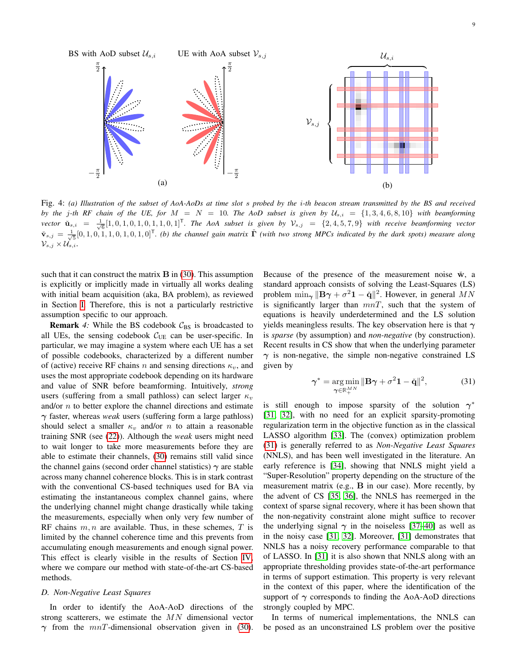<span id="page-8-0"></span>

Fig. 4: *(a) Illustration of the subset of AoA-AoDs at time slot* s *probed by the* i*-th beacon stream transmitted by the BS and received by the* j-th RF chain of the UE, for  $M = N = 10$ . The AoD subset is given by  $U_{s,i} = \{1,3,4,6,8,10\}$  with beamforming  $\mathbf{v}$  *ector*  $\mathbf{\check{u}}_{s,i} = \frac{1}{\sqrt{6}} [1, 0, 1, 0, 1, 0, 1, 1, 0, 1]^{\mathsf{T}}$ . The AoA subset is given by  $\mathcal{V}_{s,j} = \{2, 4, 5, 7, 9\}$  with receive beamforming vector  $\check{\mathbf{v}}_{s,j} = \frac{1}{\sqrt{5}} [0, 1, 0, 1, 0, 1, 0, 1, 0]^{\mathsf{T}}$ . (b) the channel gain matrix  $\check{\mathbf{\Gamma}}$  *(with two strong MPCs indicated by the dark spots) measure along*  $\mathcal{V}_{s,j} \times \mathcal{U}_{s,i}.$ 

such that it can construct the matrix  $\bf{B}$  in [\(30\)](#page-7-4). This assumption is explicitly or implicitly made in virtually all works dealing with initial beam acquisition (aka, BA problem), as reviewed in Section [I.](#page-0-0) Therefore, this is not a particularly restrictive assumption specific to our approach.

**Remark** 4: While the BS codebook  $C_{BS}$  is broadcasted to all UEs, the sensing codebook  $C_{UE}$  can be user-specific. In particular, we may imagine a system where each UE has a set of possible codebooks, characterized by a different number of (active) receive RF chains n and sensing directions  $\kappa_v$ , and uses the most appropriate codebook depending on its hardware and value of SNR before beamforming. Intuitively, *strong* users (suffering from a small pathloss) can select larger  $\kappa_v$ and/or n to better explore the channel directions and estimate γ faster, whereas *weak* users (suffering form a large pathloss) should select a smaller  $\kappa_v$  and/or n to attain a reasonable training SNR (see [\(22\)](#page-6-1)). Although the *weak* users might need to wait longer to take more measurements before they are able to estimate their channels, [\(30\)](#page-7-4) remains still valid since the channel gains (second order channel statistics)  $\gamma$  are stable across many channel coherence blocks. This is in stark contrast with the conventional CS-based techniques used for BA via estimating the instantaneous complex channel gains, where the underlying channel might change drastically while taking the measurements, especially when only very few number of RF chains  $m, n$  are available. Thus, in these schemes,  $T$  is limited by the channel coherence time and this prevents from accumulating enough measurements and enough signal power. This effect is clearly visible in the results of Section [IV,](#page-9-0) where we compare our method with state-of-the-art CS-based methods.

### *D. Non-Negative Least Squares*

In order to identify the AoA-AoD directions of the strong scatterers, we estimate the  $MN$  dimensional vector  $\gamma$  from the  $mnT$ -dimensional observation given in [\(30\)](#page-7-4). Because of the presence of the measurement noise  $\dot{w}$ , a standard approach consists of solving the Least-Squares (LS) problem  $\min_{\gamma} \|\mathbf{B}\gamma + \sigma^2 \mathbf{1} - \check{\mathbf{q}}\|^2$ . However, in general  $MN$ is significantly larger than  $mnT$ , such that the system of equations is heavily underdetermined and the LS solution yields meaningless results. The key observation here is that  $\gamma$ is *sparse* (by assumption) and *non-negative* (by construction). Recent results in CS show that when the underlying parameter  $\gamma$  is non-negative, the simple non-negative constrained LS given by

<span id="page-8-1"></span>
$$
\gamma^* = \underset{\gamma \in \mathbb{R}_+^{MN}}{\arg \min} \|\mathbf{B}\gamma + \sigma^2 \mathbf{1} - \check{\mathbf{q}}\|^2, \tag{31}
$$

is still enough to impose sparsity of the solution  $\gamma^*$ [\[31,](#page-12-13) [32\]](#page-12-14), with no need for an explicit sparsity-promoting regularization term in the objective function as in the classical LASSO algorithm [\[33\]](#page-12-15). The (convex) optimization problem [\(31\)](#page-8-1) is generally referred to as *Non-Negative Least Squares* (NNLS), and has been well investigated in the literature. An early reference is [\[34\]](#page-12-16), showing that NNLS might yield a "Super-Resolution" property depending on the structure of the measurement matrix (e.g., B in our case). More recently, by the advent of CS [\[35,](#page-12-17) [36\]](#page-12-18), the NNLS has reemerged in the context of sparse signal recovery, where it has been shown that the non-negativity constraint alone might suffice to recover the underlying signal  $\gamma$  in the noiseless [\[37–](#page-12-19)[40\]](#page-12-20) as well as in the noisy case [\[31,](#page-12-13) [32\]](#page-12-14). Moreover, [\[31\]](#page-12-13) demonstrates that NNLS has a noisy recovery performance comparable to that of LASSO. In [\[31\]](#page-12-13) it is also shown that NNLS along with an appropriate thresholding provides state-of-the-art performance in terms of support estimation. This property is very relevant in the context of this paper, where the identification of the support of  $\gamma$  corresponds to finding the AoA-AoD directions strongly coupled by MPC.

In terms of numerical implementations, the NNLS can be posed as an unconstrained LS problem over the positive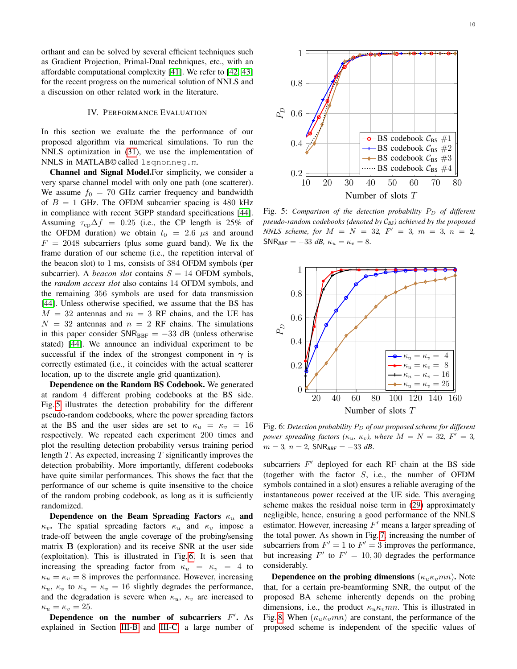orthant and can be solved by several efficient techniques such as Gradient Projection, Primal-Dual techniques, etc., with an affordable computational complexity [\[41\]](#page-12-21). We refer to [\[42,](#page-12-22) [43\]](#page-12-23) for the recent progress on the numerical solution of NNLS and a discussion on other related work in the literature.

# IV. PERFORMANCE EVALUATION

<span id="page-9-0"></span>In this section we evaluate the the performance of our proposed algorithm via numerical simulations. To run the NNLS optimization in [\(31\)](#page-8-1), we use the implementation of NNLS in MATLAB© called lsqnonneg.m.

Channel and Signal Model.For simplicity, we consider a very sparse channel model with only one path (one scatterer). We assume  $f_0 = 70$  GHz carrier frequency and bandwidth of  $B = 1$  GHz. The OFDM subcarrier spacing is 480 kHz in compliance with recent 3GPP standard specifications [\[44\]](#page-12-24). Assuming  $\tau_{cp}\Delta f = 0.25$  (i.e., the CP length is 25% of the OFDM duration) we obtain  $t_0 = 2.6 \mu s$  and around  $F = 2048$  subcarriers (plus some guard band). We fix the frame duration of our scheme (i.e., the repetition interval of the beacon slot) to 1 ms, consists of 384 OFDM symbols (per subcarrier). A *beacon slot* contains  $S = 14$  OFDM symbols, the *random access slot* also contains 14 OFDM symbols, and the remaining 356 symbols are used for data transmission [\[44\]](#page-12-24). Unless otherwise specified, we assume that the BS has  $M = 32$  antennas and  $m = 3$  RF chains, and the UE has  $N = 32$  antennas and  $n = 2$  RF chains. The simulations in this paper consider  $SNR_{BBF} = -33$  dB (unless otherwise stated) [\[44\]](#page-12-24). We announce an individual experiment to be successful if the index of the strongest component in  $\gamma$  is correctly estimated (i.e., it coincides with the actual scatterer location, up to the discrete angle grid quantization).

Dependence on the Random BS Codebook. We generated at random 4 different probing codebooks at the BS side. Fig. [5](#page-9-1) illustrates the detection probability for the different pseudo-random codebooks, where the power spreading factors at the BS and the user sides are set to  $\kappa_u = \kappa_v = 16$ respectively. We repeated each experiment 200 times and plot the resulting detection probability versus training period length  $T$ . As expected, increasing  $T$  significantly improves the detection probability. More importantly, different codebooks have quite similar performances. This shows the fact that the performance of our scheme is quite insensitive to the choice of the random probing codebook, as long as it is sufficiently randomized.

Dependence on the Beam Spreading Factors  $\kappa_u$  and  $\kappa_v$ . The spatial spreading factors  $\kappa_u$  and  $\kappa_v$  impose a trade-off between the angle coverage of the probing/sensing matrix B (exploration) and its receive SNR at the user side (exploitation). This is illustrated in Fig. [6.](#page-9-2) It is seen that increasing the spreading factor from  $\kappa_u = \kappa_v = 4$  to  $\kappa_u = \kappa_v = 8$  improves the performance. However, increasing  $\kappa_u$ ,  $\kappa_v$  to  $\kappa_u = \kappa_v = 16$  slightly degrades the performance, and the degradation is severe when  $\kappa_u$ ,  $\kappa_v$  are increased to  $\kappa_u = \kappa_v = 25.$ 

Dependence on the number of subcarriers  $F'$ . As explained in Section [III-B](#page-5-3) and [III-C,](#page-6-2) a large number of

<span id="page-9-1"></span>

Fig. 5: *Comparison of the detection probability*  $P_D$  *of different pseudo-random codebooks (denoted by* C*BS) achieved by the proposed NNLS* scheme, for  $M = N = 32$ ,  $F' = 3$ ,  $m = 3$ ,  $n = 2$ ,  $SNR_{BBF} = -33 dB$ ,  $\kappa_u = \kappa_v = 8$ .

<span id="page-9-2"></span>

Fig. 6: *Detection probability*  $P_D$  *of our proposed scheme for different power spreading factors*  $(\kappa_u, \kappa_v)$ , where  $M = N = 32$ ,  $F' = 3$ ,  $m = 3, n = 2, SNR_{BBF} = -33 dB$ .

subcarriers  $F'$  deployed for each RF chain at the BS side (together with the factor  $S$ , i.e., the number of OFDM symbols contained in a slot) ensures a reliable averaging of the instantaneous power received at the UE side. This averaging scheme makes the residual noise term in [\(29\)](#page-7-3) approximately negligible, hence, ensuring a good performance of the NNLS estimator. However, increasing  $F'$  means a larger spreading of the total power. As shown in Fig. [7,](#page-10-0) increasing the number of subcarriers from  $F' = 1$  to  $F' = 3$  improves the performance, but increasing  $F'$  to  $F' = 10,30$  degrades the performance considerably.

**Dependence on the probing dimensions** ( $\kappa_u \kappa_v mn$ ). Note that, for a certain pre-beamforming SNR, the output of the proposed BA scheme inherently depends on the probing dimensions, i.e., the product  $\kappa_u \kappa_v mn$ . This is illustrated in Fig. [8.](#page-10-1) When  $(\kappa_u \kappa_v mn)$  are constant, the performance of the proposed scheme is independent of the specific values of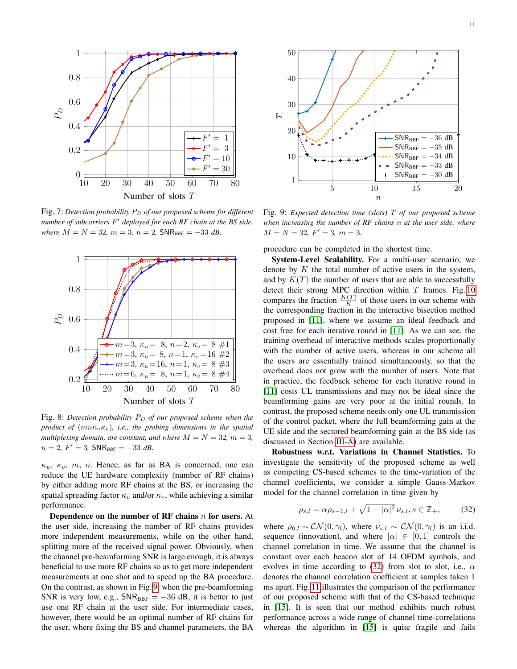<span id="page-10-0"></span>

Fig. 7: Detection probability P<sub>D</sub> of our proposed scheme for different *number of subcarriers* F 0 *deployed for each RF chain at the BS side,*  $where M = N = 32, m = 3, n = 2, SNR_{BBF} = -33 dB.$ 

<span id="page-10-1"></span>

Fig. 8: Detection probability  $P_D$  of our proposed scheme when the *product of*  $(mn\kappa_{u}\kappa_{v})$ *, i.e., the probing dimensions in the spatial multiplexing domain, are constant, and where*  $M = N = 32$ ,  $m = 3$ ,  $n = 2, F' = 3, SNR_{BBF} = -33 dB.$ 

 $\kappa_u$ ,  $\kappa_v$ , m, n. Hence, as far as BA is concerned, one can reduce the UE hardware complexity (number of RF chains) by either adding more RF chains at the BS, or increasing the spatial spreading factor  $\kappa_u$  and/or  $\kappa_v$ , while achieving a similar performance.

Dependence on the number of RF chains  $n$  for users. At the user side, increasing the number of RF chains provides more independent measurements, while on the other hand, splitting more of the received signal power. Obviously, when the channel pre-beamforming SNR is large enough, it is always beneficial to use more RF chains so as to get more independent measurements at one shot and to speed up the BA procedure. On the contrast, as shown in Fig. [9,](#page-10-2) when the pre-beamforming SNR is very low, e.g.,  $SNR_{BBF} = -36$  dB, it is better to just use one RF chain at the user side. For intermediate cases, however, there would be an optimal number of RF chains for the user, where fixing the BS and channel parameters, the BA

<span id="page-10-2"></span>

Fig. 9: *Expected detection time (slots)* T *of our proposed scheme when increasing the number of RF chains* n *at the user side, where*  $M = N = 32, F' = 3, m = 3.$ 

procedure can be completed in the shortest time.

System-Level Scalability. For a multi-user scenario, we denote by  $K$  the total number of active users in the system, and by  $K(T)$  the number of users that are able to successfully detect their strong MPC direction within  $T$  frames. Fig. [10](#page-11-12) compares the fraction  $\frac{K(T)}{K}$  of those users in our scheme with the corresponding fraction in the interactive bisection method proposed in [\[11\]](#page-11-7), where we assume an ideal feedback and cost free for each iterative round in [\[11\]](#page-11-7). As we can see, the training overhead of interactive methods scales proportionally with the number of active users, whereas in our scheme all the users are essentially trained simultaneously, so that the overhead does not grow with the number of users. Note that in practice, the feedback scheme for each iterative round in [\[11\]](#page-11-7) costs UL transmissions and may not be ideal since the beamforming gains are very poor at the initial rounds. In contrast, the proposed scheme needs only one UL transmission of the control packet, where the full beamforming gain at the UE side and the sectored beamforming gain at the BS side (as discussed in Section [III-A\)](#page-4-5) are available.

Robustness w.r.t. Variations in Channel Statistics. To investigate the sensitivity of the proposed scheme as well as competing CS-based schemes to the time-variation of the channel coefficients, we consider a simple Gauss-Markov model for the channel correlation in time given by

<span id="page-10-3"></span>
$$
\rho_{s,l} = \alpha \rho_{s-1,l} + \sqrt{1 - |\alpha|^2} \nu_{s,l}, s \in \mathbb{Z}_+, \tag{32}
$$

where  $\rho_{0,l} \sim \mathcal{CN}(0, \gamma_l)$ , where  $\nu_{s,l} \sim \mathcal{CN}(0, \gamma_l)$  is an i.i.d. sequence (innovation), and where  $|\alpha| \in [0,1]$  controls the channel correlation in time. We assume that the channel is constant over each beacon slot of 14 OFDM symbols, and evolves in time according to [\(32\)](#page-10-3) from slot to slot, i.e.,  $\alpha$ denotes the channel correlation coefficient at samples taken 1 ms apart. Fig. [11](#page-11-13) illustrates the comparison of the performance of our proposed scheme with that of the CS-based technique in [\[15\]](#page-12-0). It is seen that our method exhibits much robust performance across a wide range of channel time-correlations whereas the algorithm in [\[15\]](#page-12-0) is quite fragile and fails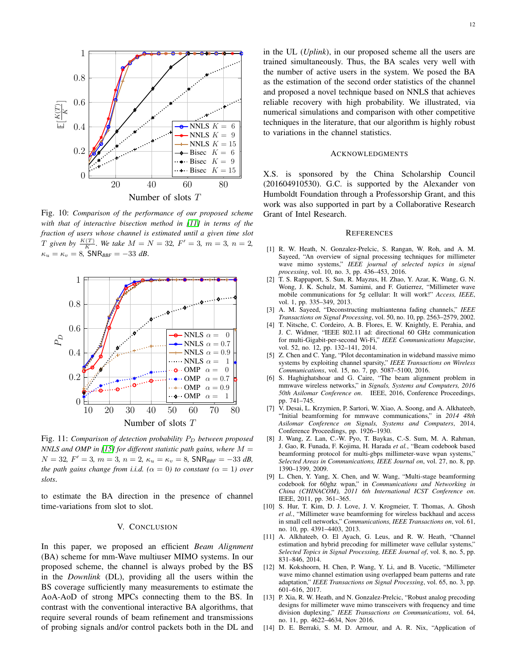<span id="page-11-12"></span>

Fig. 10: *Comparison of the performance of our proposed scheme with that of interactive bisection method in [\[11\]](#page-11-7) in terms of the fraction of users whose channel is estimated until a given time slot T* given by  $\frac{K(T)}{K}$ . We take  $M = N = 32$ ,  $F' = 3$ ,  $m = 3$ ,  $n = 2$ ,  $\kappa_u = \kappa_v = 8$ , SNR<sub>BBF</sub> = -33 *dB*.

<span id="page-11-13"></span>

Fig. 11: *Comparison of detection probability*  $P_D$  *between proposed NNLS and OMP in [\[15\]](#page-12-0) for different statistic path gains, where* M =  $N = 32, F' = 3, m = 3, n = 2, \kappa_u = \kappa_v = 8, \text{SNR}_{BBF} = -33 \text{ dB},$ *the path gains change from i.i.d.* ( $\alpha = 0$ ) to constant ( $\alpha = 1$ ) over *slots*.

to estimate the BA direction in the presence of channel time-variations from slot to slot.

### V. CONCLUSION

In this paper, we proposed an efficient *Beam Alignment* (BA) scheme for mm-Wave multiuser MIMO systems. In our proposed scheme, the channel is always probed by the BS in the *Downlink* (DL), providing all the users within the BS coverage sufficiently many measurements to estimate the AoA-AoD of strong MPCs connecting them to the BS. In contrast with the conventional interactive BA algorithms, that require several rounds of beam refinement and transmissions of probing signals and/or control packets both in the DL and in the UL (*Uplink*), in our proposed scheme all the users are trained simultaneously. Thus, the BA scales very well with the number of active users in the system. We posed the BA as the estimation of the second order statistics of the channel and proposed a novel technique based on NNLS that achieves reliable recovery with high probability. We illustrated, via numerical simulations and comparison with other competitive techniques in the literature, that our algorithm is highly robust to variations in the channel statistics.

### ACKNOWLEDGMENTS

X.S. is sponsored by the China Scholarship Council (201604910530). G.C. is supported by the Alexander von Humboldt Foundation through a Professorship Grant, and this work was also supported in part by a Collaborative Research Grant of Intel Research.

#### **REFERENCES**

- <span id="page-11-0"></span>[1] R. W. Heath, N. Gonzalez-Prelcic, S. Rangan, W. Roh, and A. M. Sayeed, "An overview of signal processing techniques for millimeter wave mimo systems," *IEEE journal of selected topics in signal processing*, vol. 10, no. 3, pp. 436–453, 2016.
- <span id="page-11-1"></span>[2] T. S. Rappaport, S. Sun, R. Mayzus, H. Zhao, Y. Azar, K. Wang, G. N. Wong, J. K. Schulz, M. Samimi, and F. Gutierrez, "Millimeter wave mobile communications for 5g cellular: It will work!" *Access, IEEE*, vol. 1, pp. 335–349, 2013.
- <span id="page-11-2"></span>[3] A. M. Sayeed, "Deconstructing multiantenna fading channels," *IEEE Transactions on Signal Processing*, vol. 50, no. 10, pp. 2563–2579, 2002.
- <span id="page-11-4"></span>[4] T. Nitsche, C. Cordeiro, A. B. Flores, E. W. Knightly, E. Perahia, and J. C. Widmer, "IEEE 802.11 ad: directional 60 GHz communication for multi-Gigabit-per-second Wi-Fi," *IEEE Communications Magazine*, vol. 52, no. 12, pp. 132–141, 2014.
- <span id="page-11-11"></span>[5] Z. Chen and C. Yang, "Pilot decontamination in wideband massive mimo systems by exploiting channel sparsity," *IEEE Transactions on Wireless Communications*, vol. 15, no. 7, pp. 5087–5100, 2016.
- <span id="page-11-3"></span>[6] S. Haghighatshoar and G. Caire, "The beam alignment problem in mmwave wireless networks," in *Signals, Systems and Computers, 2016 50th Asilomar Conference on*. IEEE, 2016, Conference Proceedings, pp. 741–745.
- <span id="page-11-5"></span>[7] V. Desai, L. Krzymien, P. Sartori, W. Xiao, A. Soong, and A. Alkhateeb, "Initial beamforming for mmwave communications," in *2014 48th Asilomar Conference on Signals, Systems and Computers*, 2014, Conference Proceedings, pp. 1926–1930.
- <span id="page-11-6"></span>[8] J. Wang, Z. Lan, C.-W. Pyo, T. Baykas, C.-S. Sum, M. A. Rahman, J. Gao, R. Funada, F. Kojima, H. Harada *et al.*, "Beam codebook based beamforming protocol for multi-gbps millimeter-wave wpan systems," *Selected Areas in Communications, IEEE Journal on*, vol. 27, no. 8, pp. 1390–1399, 2009.
- [9] L. Chen, Y. Yang, X. Chen, and W. Wang, "Multi-stage beamforming codebook for 60ghz wpan," in *Communications and Networking in China (CHINACOM), 2011 6th International ICST Conference on*. IEEE, 2011, pp. 361–365.
- [10] S. Hur, T. Kim, D. J. Love, J. V. Krogmeier, T. Thomas, A. Ghosh *et al.*, "Millimeter wave beamforming for wireless backhaul and access in small cell networks," *Communications, IEEE Transactions on*, vol. 61, no. 10, pp. 4391–4403, 2013.
- <span id="page-11-7"></span>[11] A. Alkhateeb, O. El Ayach, G. Leus, and R. W. Heath, "Channel estimation and hybrid precoding for millimeter wave cellular systems," *Selected Topics in Signal Processing, IEEE Journal of*, vol. 8, no. 5, pp. 831–846, 2014.
- <span id="page-11-8"></span>[12] M. Kokshoorn, H. Chen, P. Wang, Y. Li, and B. Vucetic, "Millimeter wave mimo channel estimation using overlapped beam patterns and rate adaptation," *IEEE Transactions on Signal Processing*, vol. 65, no. 3, pp. 601–616, 2017.
- <span id="page-11-9"></span>[13] P. Xia, R. W. Heath, and N. Gonzalez-Prelcic, "Robust analog precoding designs for millimeter wave mimo transceivers with frequency and time division duplexing," *IEEE Transactions on Communications*, vol. 64, no. 11, pp. 4622–4634, Nov 2016.
- <span id="page-11-10"></span>[14] D. E. Berraki, S. M. D. Armour, and A. R. Nix, "Application of